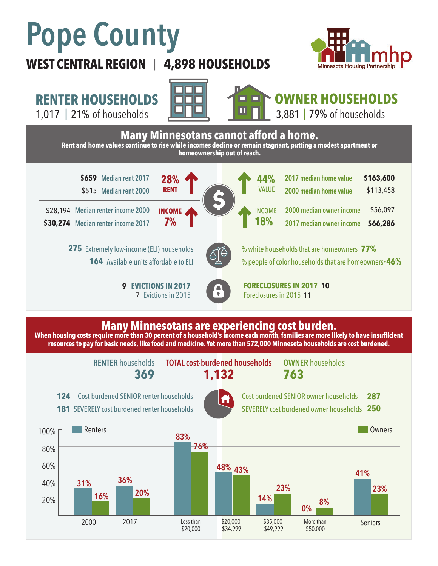# **Pope County**

### **WEST CENTRAL REGION 4,898 HOUSEHOLDS**  |



**RENTER HOUSEHOLDS**

1,017 | 21% of households **| UNIMER | UNIMER 1,881 | 79%** 





## **OWNER HOUSEHOLDS**

3,881 | 79% of households



#### **Many Minnesotans are experiencing cost burden.**

**When housing costs require more than 30 percent of a household's income each month, families are more likely to have insufficient resources to pay for basic needs, like food and medicine. Yet more than 572,000 Minnesota households are cost burdened.**